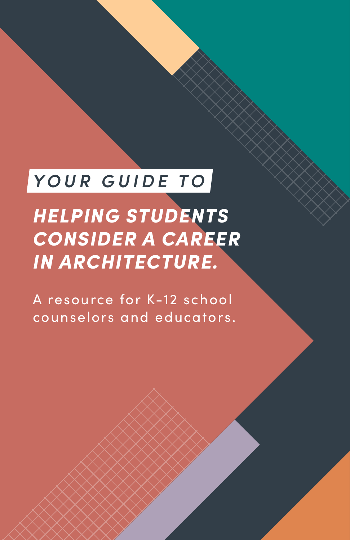### *YOUR GUIDE TO*

*HELPING STUDENTS CONSIDER A CAREER IN ARCHITECTURE.*

A resource for K-12 school counselors and educators.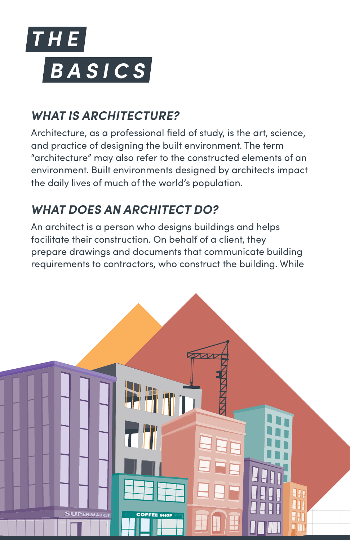

#### *WHAT IS ARCHITECTURE?*

Architecture, as a professional field of study, is the art, science, and practice of designing the built environment. The term "architecture" may also refer to the constructed elements of an environment. Built environments designed by architects impact the daily lives of much of the world's population.

#### *WHAT DOES AN ARCHITECT DO?*

An architect is a person who designs buildings and helps facilitate their construction. On behalf of a client, they prepare drawings and documents that communicate building requirements to contractors, who construct the building. While

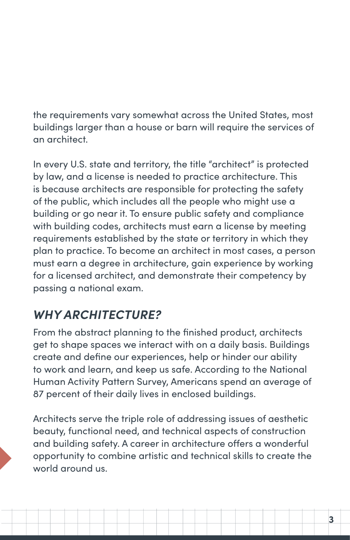the requirements vary somewhat across the United States, most buildings larger than a house or barn will require the services of an architect.

In every U.S. state and territory, the title "architect" is protected by law, and a license is needed to practice architecture. This is because architects are responsible for protecting the safety of the public, which includes all the people who might use a building or go near it. To ensure public safety and compliance with building codes, architects must earn a license by meeting requirements established by the state or territory in which they plan to practice. To become an architect in most cases, a person must earn a degree in architecture, gain experience by working for a licensed architect, and demonstrate their competency by passing a national exam.

#### *WHY ARCHITECTURE?*

From the abstract planning to the finished product, architects get to shape spaces we interact with on a daily basis. Buildings create and define our experiences, help or hinder our ability to work and learn, and keep us safe. According to the National Human Activity Pattern Survey, Americans spend an average of 87 percent of their daily lives in enclosed buildings.

Architects serve the triple role of addressing issues of aesthetic beauty, functional need, and technical aspects of construction and building safety. A career in architecture offers a wonderful opportunity to combine artistic and technical skills to create the world around us.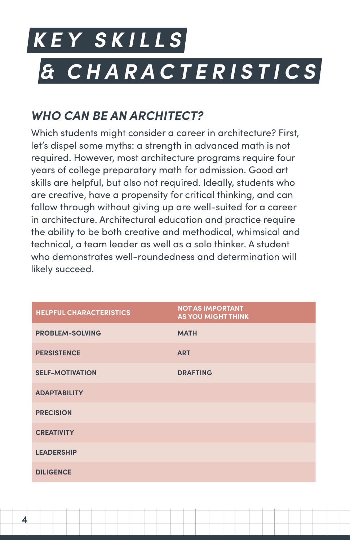# *KEY SKILLS & CHARACTERISTICS*

#### *WHO CAN BE AN ARCHITECT?*

**4**

Which students might consider a career in architecture? First, let's dispel some myths: a strength in advanced math is not required. However, most architecture programs require four years of college preparatory math for admission. Good art skills are helpful, but also not required. Ideally, students who are creative, have a propensity for critical thinking, and can follow through without giving up are well-suited for a career in architecture. Architectural education and practice require the ability to be both creative and methodical, whimsical and technical, a team leader as well as a solo thinker. A student who demonstrates well-roundedness and determination will likely succeed.

| <b>HELPFUL CHARACTERISTICS</b> | <b>NOT AS IMPORTANT</b><br><b>AS YOU MIGHT THINK</b> |
|--------------------------------|------------------------------------------------------|
| <b>PROBLEM-SOLVING</b>         | <b>MATH</b>                                          |
| <b>PERSISTENCE</b>             | <b>ART</b>                                           |
| <b>SELF-MOTIVATION</b>         | <b>DRAFTING</b>                                      |
| <b>ADAPTABILITY</b>            |                                                      |
| <b>PRECISION</b>               |                                                      |
| <b>CREATIVITY</b>              |                                                      |
| <b>LEADERSHIP</b>              |                                                      |
| <b>DILIGENCE</b>               |                                                      |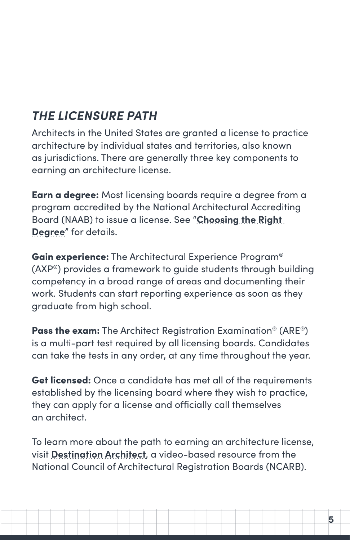#### *THE LICENSURE PATH*

Architects in the United States are granted a license to practice architecture by individual states and territories, also known as jurisdictions. There are generally three key components to earning an architecture license.

Earn a degree: Most licensing boards require a degree from a program accredited by the National Architectural Accrediting Board (NAAB) to issue a license. See "**[Choosing the Right](#page-9-0)  [Degree](#page-9-0)**" for details.

Gain experience: The Architectural Experience Program® (AXP®) provides a framework to guide students through building competency in a broad range of areas and documenting their work. Students can start reporting experience as soon as they graduate from high school.

Pass the exam: The Architect Registration Examination<sup>®</sup> (ARE<sup>®</sup>) is a multi-part test required by all licensing boards. Candidates can take the tests in any order, at any time throughout the year.

Get licensed: Once a candidate has met all of the requirements established by the licensing board where they wish to practice, they can apply for a license and officially call themselves an architect.

To learn more about the path to earning an architecture license, visit **[Destination Architect](http://www.destinationarchitect.org)**, a video-based resource from the National Council of Architectural Registration Boards (NCARB).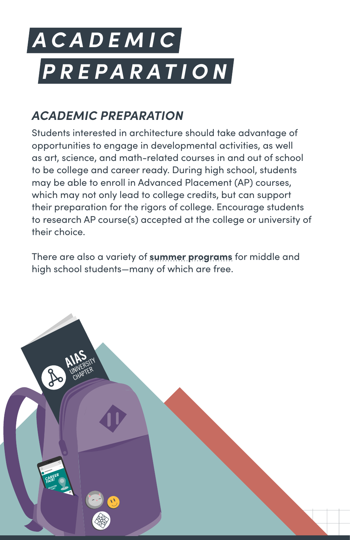# *ACADEMIC PREPARATION*

#### *ACADEMIC PREPARATION*

Students interested in architecture should take advantage of opportunities to engage in developmental activities, as well as art, science, and math-related courses in and out of school to be college and career ready. During high school, students may be able to enroll in Advanced Placement (AP) courses, which may not only lead to college credits, but can support their preparation for the rigors of college. Encourage students to research AP course(s) accepted at the college or university of their choice.

There are also a variety of **[summer programs](https://studyarchitecture.com/blog/featured/2020-summer-architecture-programs/ )** for middle and high school students—many of which are free.

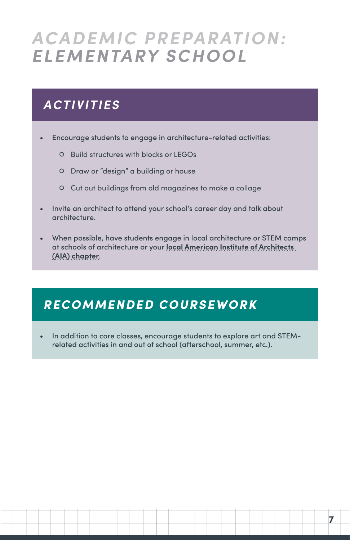### *ACADEMIC PREPARATION: ELEMENTARY SCHOOL*

#### *ACTIVITIES*

- Encourage students to engage in architecture-related activities:
	- **○** Build structures with blocks or LEGOs
	- **○** Draw or "design" a building or house
	- **○** Cut out buildings from old magazines to make a collage
- Invite an architect to attend your school's career day and talk about architecture.
- When possible, have students engage in local architecture or STEM camps at schools of architecture or your **[local American Institute of Architects](https://www.aia.org/find-chapter)  [\(AIA\) chapter](https://www.aia.org/find-chapter)**.

#### *RECOMMENDED COURSEWORK*

• In addition to core classes, encourage students to explore art and STEMrelated activities in and out of school (afterschool, summer, etc.).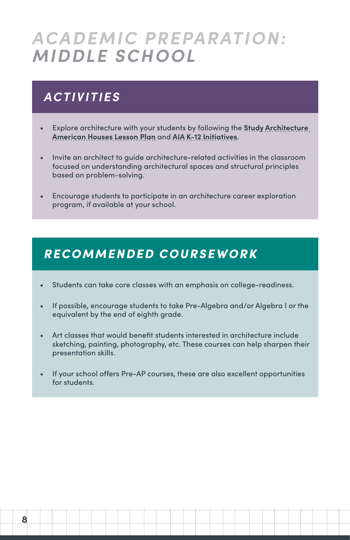### *ACADEMIC PREPARATION: MIDDLE SCHOOL*

#### *ACTIVITIES*

- Explore architecture with your students by following the **[Study Architecture](https://studyarchitecture.com/blog/resources/study-architecture-at-home/)  [American Houses Lesson Plan](https://studyarchitecture.com/blog/resources/study-architecture-at-home/)** and **[AIA K-12 Initiatives](https://www.aia.org/resources/154816-k-12-initiatives)**.
- Invite an architect to guide architecture-related activities in the classroom focused on understanding architectural spaces and structural principles based on problem-solving.
- Encourage students to participate in an architecture career exploration program, if available at your school.

#### *RECOMMENDED COURSEWORK*

- Students can take core classes with an emphasis on college-readiness.
- If possible, encourage students to take Pre-Algebra and/or Algebra I or the equivalent by the end of eighth grade.
- Art classes that would benefit students interested in architecture include sketching, painting, photography, etc. These courses can help sharpen their presentation skills.
- If your school offers Pre-AP courses, these are also excellent opportunities for students.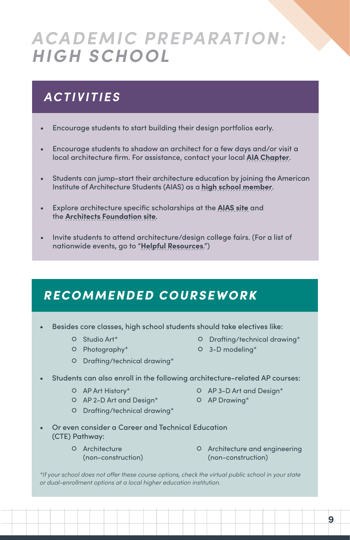### *ACADEMIC PREPARATION: HIGH SCHOOL*

#### *ACTIVITIES*

- Encourage students to start building their design portfolios early.
- Encourage students to shadow an architect for a few days and/or visit a local architecture firm. For assistance, contact your local **[AIA Chapter](https://www.aia.org/find-chapter)**.
- Students can jump-start their architecture education by joining the American Institute of Architecture Students (AIAS) as a **[high school member](http://www.aias.org/studyarchitecture)**.
- Explore architecture specific scholarships at the **[AIAS site](http://www.aias.org/career/scholarships/)** and the **[Architects Foundation site](https://architectsfoundation.org/what-we-do/architecture-scholarships/)**.
- Invite students to attend architecture/design college fairs. (For a list of nationwide events, go to "**[Helpful Resources](#page-17-0)**.")

#### *RECOMMENDED COURSEWORK*

- Besides core classes, high school students should take electives like:
	-
	-
	- **○** Drafting/technical drawing\*
	- **○** Studio Art\* **○** Drafting/technical drawing\*
	- **○** Photography\* **○** 3-D modeling\*
- Students can also enroll in the following architecture-related AP courses:
	-
	- **○** AP Art History\* **○** AP 3-D Art and Design\*
	- **○** AP 2-D Art and Design\* **○** AP Drawing\*
- - **○** Drafting/technical drawing\*
- 
- Or even consider a Career and Technical Education (CTE) Pathway:
	- **○** Architecture (non-construction)
- **○** Architecture and engineering (non-construction)

*\*If your school does not offer these course options, check the virtual public school in your state or dual-enrollment options at a local higher education institution.*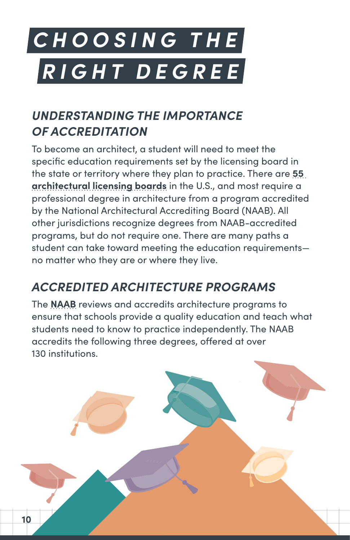# <span id="page-9-0"></span>*CHOOSING THE RIGHT DEGREE*

#### *UNDERSTANDING THE IMPORTANCE OF ACCREDITATION*

To become an architect, a student will need to meet the specific education requirements set by the licensing board in the state or territory where they plan to practice. There are **[55](https://www.ncarb.org/get-licensed/state-licensing-boards)  [architectural licensing boards](https://www.ncarb.org/get-licensed/state-licensing-boards)** in the U.S., and most require a professional degree in architecture from a program accredited by the National Architectural Accrediting Board (NAAB). All other jurisdictions recognize degrees from NAAB-accredited programs, but do not require one. There are many paths a student can take toward meeting the education requirements no matter who they are or where they live.

#### *ACCREDITED ARCHITECTURE PROGRAMS*

The **[NAAB](http://www.naab.org)** reviews and accredits architecture programs to ensure that schools provide a quality education and teach what students need to know to practice independently. The NAAB accredits the following three degrees, offered at over 130 institutions.

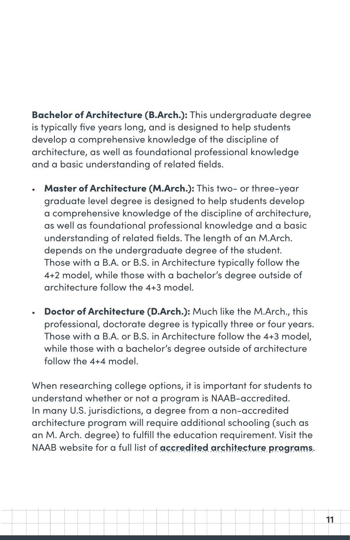Bachelor of Architecture (B.Arch.): This undergraduate degree is typically five years long, and is designed to help students develop a comprehensive knowledge of the discipline of architecture, as well as foundational professional knowledge and a basic understanding of related fields.

- Master of Architecture (M.Arch.): This two- or three-year graduate level degree is designed to help students develop a comprehensive knowledge of the discipline of architecture, as well as foundational professional knowledge and a basic understanding of related fields. The length of an M.Arch. depends on the undergraduate degree of the student. Those with a B.A. or B.S. in Architecture typically follow the 4+2 model, while those with a bachelor's degree outside of architecture follow the 4+3 model.
- Doctor of Architecture (D.Arch.): Much like the M.Arch., this professional, doctorate degree is typically three or four years. Those with a B.A. or B.S. in Architecture follow the 4+3 model, while those with a bachelor's degree outside of architecture follow the 4+4 model.

When researching college options, it is important for students to understand whether or not a program is NAAB-accredited. In many U.S. jurisdictions, a degree from a non-accredited architecture program will require additional schooling (such as an M. Arch. degree) to fulfill the education requirement. Visit the NAAB website for a full list of **[accredited architecture programs](https://www.naab.org/architecture-programs/school-search/)**.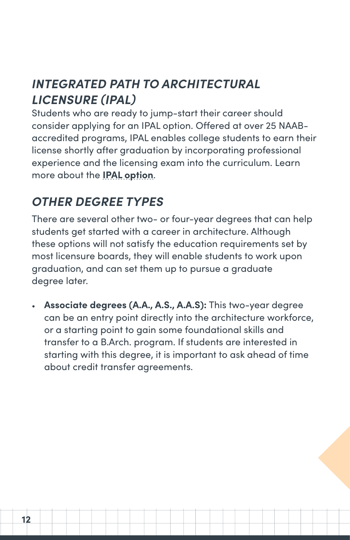#### *INTEGRATED PATH TO ARCHITECTURAL LICENSURE (IPAL)*

Students who are ready to jump-start their career should consider applying for an IPAL option. Offered at over 25 NAABaccredited programs, IPAL enables college students to earn their license shortly after graduation by incorporating professional experience and the licensing exam into the curriculum. Learn more about the **[IPAL option](http://www.ncarb.org/IPAL)**.

#### *OTHER DEGREE TYPES*

There are several other two- or four-year degrees that can help students get started with a career in architecture. Although these options will not satisfy the education requirements set by most licensure boards, they will enable students to work upon graduation, and can set them up to pursue a graduate degree later.

• **Associate degrees (A.A., A.S., A.A.S):** This two-year degree can be an entry point directly into the architecture workforce, or a starting point to gain some foundational skills and transfer to a B.Arch. program. If students are interested in starting with this degree, it is important to ask ahead of time about credit transfer agreements.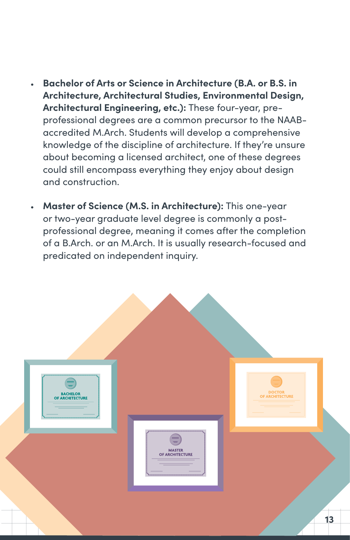- **Bachelor of Arts or Science in Architecture (B.A. or B.S. in Architecture, Architectural Studies, Environmental Design, Architectural Engineering, etc.):** These four-year, preprofessional degrees are a common precursor to the NAABaccredited M.Arch. Students will develop a comprehensive knowledge of the discipline of architecture. If they're unsure about becoming a licensed architect, one of these degrees could still encompass everything they enjoy about design and construction.
- **Master of Science (M.S. in Architecture):** This one-year or two-year graduate level degree is commonly a postprofessional degree, meaning it comes after the completion of a B.Arch. or an M.Arch. It is usually research-focused and predicated on independent inquiry.

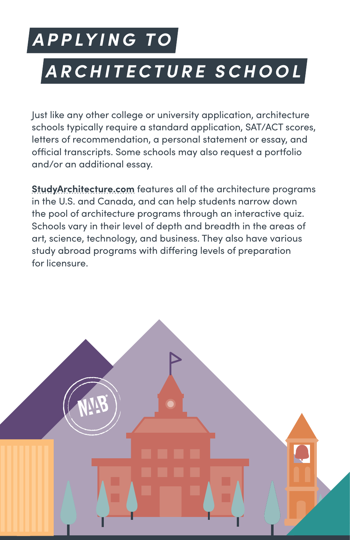### *APPLYING TO*

### *ARCHITECTURE SCHOOL*

Just like any other college or university application, architecture schools typically require a standard application, SAT/ACT scores, letters of recommendation, a personal statement or essay, and official transcripts. Some schools may also request a portfolio and/or an additional essay.

**[StudyArchitecture.com](http://studyarchitecture.com)** features all of the architecture programs in the U.S. and Canada, and can help students narrow down the pool of architecture programs through an interactive quiz. Schools vary in their level of depth and breadth in the areas of art, science, technology, and business. They also have various study abroad programs with differing levels of preparation for licensure.

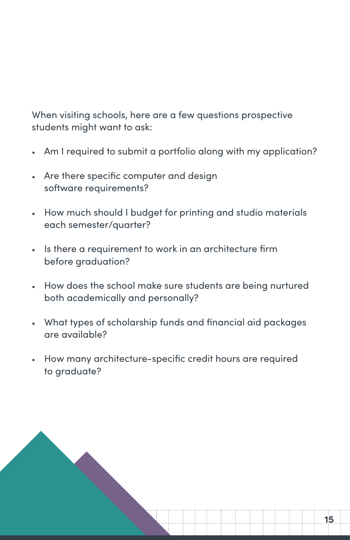When visiting schools, here are a few questions prospective students might want to ask:

- Am I required to submit a portfolio along with my application?
- Are there specific computer and design software requirements?
- How much should I budget for printing and studio materials each semester/quarter?
- Is there a requirement to work in an architecture firm before graduation?
- How does the school make sure students are being nurtured both academically and personally?
- What types of scholarship funds and financial aid packages are available?
- How many architecture-specific credit hours are required to graduate?

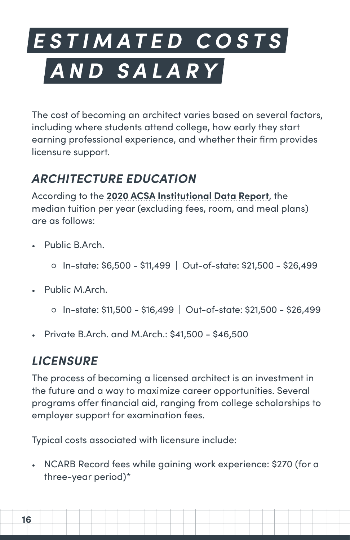## *ESTIMATED COSTS AND SALARY*

The cost of becoming an architect varies based on several factors, including where students attend college, how early they start earning professional experience, and whether their firm provides licensure support.

#### *ARCHITECTURE EDUCATION*

According to the **[2020 ACSA Institutional Data Report](https://www.acsa-arch.org/resources/data-resources/acsa-institutional-data-report-2020/)**, the median tuition per year (excluding fees, room, and meal plans) are as follows:

- Public B.Arch.
	- **○** In-state: \$6,500 \$11,499 | Out-of-state: \$21,500 \$26,499
- Public M.Arch.
	- **○** In-state: \$11,500 \$16,499 | Out-of-state: \$21,500 \$26,499
- Private B.Arch. and M.Arch.: \$41,500 \$46,500

#### *LICENSURE*

The process of becoming a licensed architect is an investment in the future and a way to maximize career opportunities. Several programs offer financial aid, ranging from college scholarships to employer support for examination fees.

Typical costs associated with licensure include:

• NCARB Record fees while gaining work experience: \$270 (for a three-year period)\*

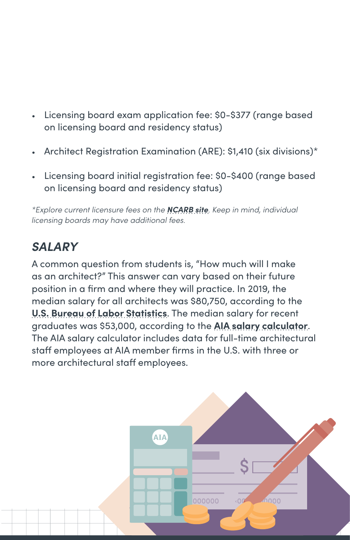- Licensing board exam application fee: \$0-\$377 (range based on licensing board and residency status)
- Architect Registration Examination (ARE): \$1,410 (six divisions)\*
- Licensing board initial registration fee: \$0-\$400 (range based on licensing board and residency status)

*\*Explore current licensure fees on the [NCARB site](https://www.ncarb.org/fees). Keep in mind, individual licensing boards may have additional fees.*

#### *SALARY*

A common question from students is, "How much will I make as an architect?" This answer can vary based on their future position in a firm and where they will practice. In 2019, the median salary for all architects was \$80,750, according to the **[U.S. Bureau of Labor Statistics](https://www.bls.gov/oes/current/oes171011.htm#(2))**. The median salary for recent graduates was \$53,000, according to the **[AIA salary calculator](https://info.aia.org/salary/)**. The AIA salary calculator includes data for full-time architectural staff employees at AIA member firms in the U.S. with three or more architectural staff employees.

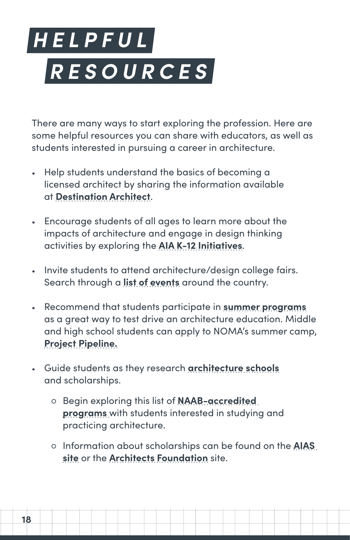## <span id="page-17-0"></span>*HELPFUL RESOURCES*

There are many ways to start exploring the profession. Here are some helpful resources you can share with educators, as well as students interested in pursuing a career in architecture.

- Help students understand the basics of becoming a licensed architect by sharing the information available at **[Destination Architect](http://destinationarchitect.org)**.
- Encourage students of all ages to learn more about the impacts of architecture and engage in design thinking activities by exploring the **[AIA K-12 Initiatives](https://www.aia.org/resources/154816-k-12-initiatives)**.
- Invite students to attend architecture/design college fairs. Search through a **[list of events](https://studyarchitecture.com/events/)** around the country.
- Recommend that students participate in **[summer programs](https://studyarchitecture.com/blog/featured/2020-summer-architecture-programs/)** as a great way to test drive an architecture education. Middle and high school students can apply to NOMA's summer camp, **[Project Pipeline.](https://www.noma.net/project-pipeline)**
- Guide students as they research **[architecture schools](https://studyarchitecture.com/)** and scholarships.
	- **○** Begin exploring this list of **[NAAB-accredited](https://www.naab.org/architecture-programs/)  [programs](https://www.naab.org/architecture-programs/)** with students interested in studying and practicing architecture.
	- **○** Information about scholarships can be found on the **[AIAS](http://www.aias.org/career/scholarships/)  [site](http://www.aias.org/career/scholarships/)** or the **[Architects Foundation](https://architectsfoundation.org/what-we-do/architecture-scholarships/)** site.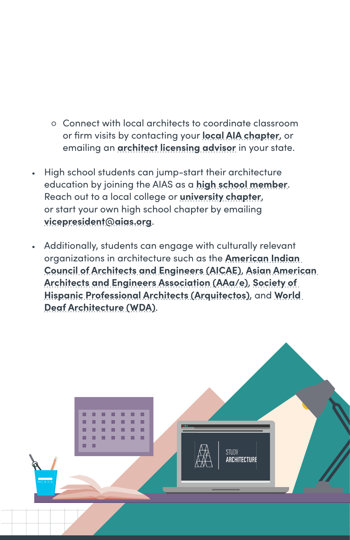- **○** Connect with local architects to coordinate classroom or firm visits by contacting your **[local AIA chapter](https://www.aia.org/find-chapter)**, or emailing an **[architect licensing advisor](http://www.ncarb.org/findmyadvisor)** in your state.
- High school students can jump-start their architecture education by joining the AIAS as a **[high school member](http://www.aias.org/studyarchitecture/)**. Reach out to a local college or **[university chapter](http://www.aias.org/)**, or start your own high school chapter by emailing **[vicepresident@aias.org](mailto:vicepresident%40aias.org?subject=)**.
- Additionally, students can engage with culturally relevant organizations in architecture such as the **[American Indian](http://www.aicae.org/)  [Council of Architects and Engineers \(AICAE\)](http://www.aicae.org/)**, **[Asian American](https://www.aaaesc.org/)  [Architects and Engineers Association \(AAa/e\)](https://www.aaaesc.org/)**, **[Society of](http://www.arquitectoschicago.org/)  [Hispanic Professional Architects \(Arquitectos](http://www.arquitectoschicago.org/))**, and **[World](https://worlddeafarchitecture.org/)  [Deaf Architecture \(WDA\)](https://worlddeafarchitecture.org/)**.

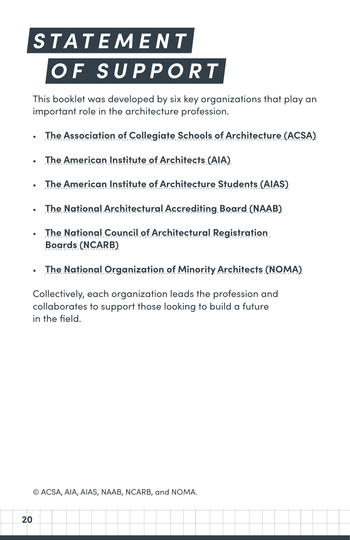## *S T A T E M E N T OF SUPPORT*

This booklet was developed by six key organizations that play an important role in the architecture profession.

- **[The Association of Collegiate Schools of Architecture \(ACSA\)](http://www.acsa-arch.org)**
- **[The American Institute of Architects \(AIA\)](http://aia.org)**
- **[The American Institute of Architecture Students \(AIAS\)](http://www.aias.org)**
- **[The National Architectural Accrediting Board \(NAAB\)](http://www.naab.org)**
- **[The National Council of Architectural Registration](http://ncarb.org)  [Boards \(NCARB\)](http://ncarb.org)**
- **[The National Organization of Minority Architects \(NOMA\)](http://noma.net)**

Collectively, each organization leads the profession and collaborates to support those looking to build a future in the field.

© ACSA, AIA, AIAS, NAAB, NCARB, and NOMA.